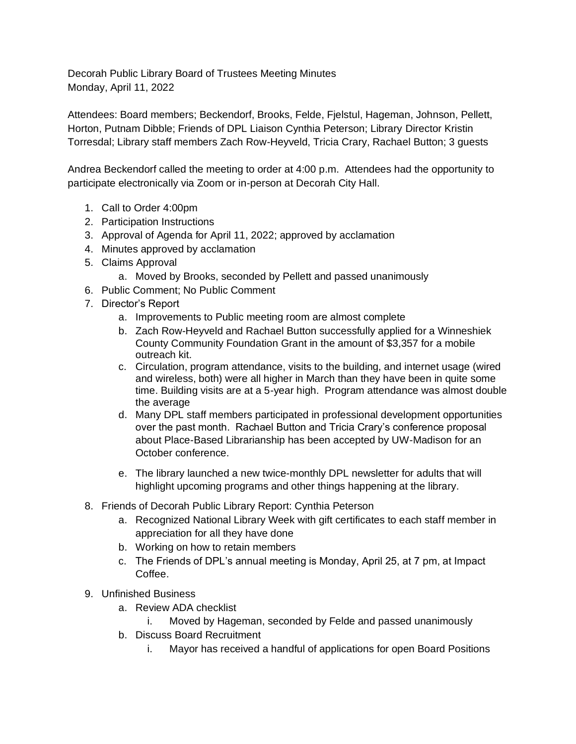Decorah Public Library Board of Trustees Meeting Minutes Monday, April 11, 2022

Attendees: Board members; Beckendorf, Brooks, Felde, Fjelstul, Hageman, Johnson, Pellett, Horton, Putnam Dibble; Friends of DPL Liaison Cynthia Peterson; Library Director Kristin Torresdal; Library staff members Zach Row-Heyveld, Tricia Crary, Rachael Button; 3 guests

Andrea Beckendorf called the meeting to order at 4:00 p.m. Attendees had the opportunity to participate electronically via Zoom or in-person at Decorah City Hall.

- 1. Call to Order 4:00pm
- 2. Participation Instructions
- 3. Approval of Agenda for April 11, 2022; approved by acclamation
- 4. Minutes approved by acclamation
- 5. Claims Approval
	- a. Moved by Brooks, seconded by Pellett and passed unanimously
- 6. Public Comment; No Public Comment
- 7. Director's Report
	- a. Improvements to Public meeting room are almost complete
	- b. Zach Row-Heyveld and Rachael Button successfully applied for a Winneshiek County Community Foundation Grant in the amount of \$3,357 for a mobile outreach kit.
	- c. Circulation, program attendance, visits to the building, and internet usage (wired and wireless, both) were all higher in March than they have been in quite some time. Building visits are at a 5-year high. Program attendance was almost double the average
	- d. Many DPL staff members participated in professional development opportunities over the past month. Rachael Button and Tricia Crary's conference proposal about Place-Based Librarianship has been accepted by UW-Madison for an October conference.
	- e. The library launched a new twice-monthly DPL newsletter for adults that will highlight upcoming programs and other things happening at the library.
- 8. Friends of Decorah Public Library Report: Cynthia Peterson
	- a. Recognized National Library Week with gift certificates to each staff member in appreciation for all they have done
	- b. Working on how to retain members
	- c. The Friends of DPL's annual meeting is Monday, April 25, at 7 pm, at Impact Coffee.
- 9. Unfinished Business
	- a. Review ADA checklist
		- i. Moved by Hageman, seconded by Felde and passed unanimously
	- b. Discuss Board Recruitment
		- i. Mayor has received a handful of applications for open Board Positions